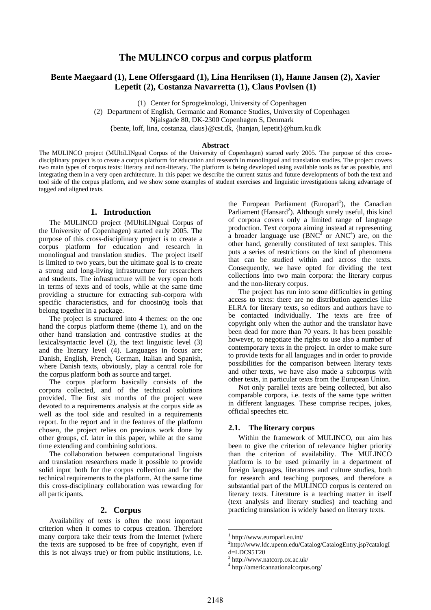# **The MULINCO corpus and corpus platform**

# **Bente Maegaard (1), Lene Offersgaard (1), Lina Henriksen (1), Hanne Jansen (2), Xavier Lepetit (2), Costanza Navarretta (1), Claus Povlsen (1)**

(1) Center for Sprogteknologi, University of Copenhagen

(2) Department of English, Germanic and Romance Studies, University of Copenhagen

Njalsgade 80, DK-2300 Copenhagen S, Denmark

{bente, loff, lina, costanza, claus}@cst.dk, {hanjan, lepetit}@hum.ku.dk

#### **Abstract**

The MULINCO project (MUltiLINgual Corpus of the University of Copenhagen) started early 2005. The purpose of this crossdisciplinary project is to create a corpus platform for education and research in monolingual and translation studies. The project covers two main types of corpus texts: literary and non-literary. The platform is being developed using available tools as far as possible, and integrating them in a very open architecture. In this paper we describe the current status and future developments of both the text and tool side of the corpus platform, and we show some examples of student exercises and linguistic investigations taking advantage of tagged and aligned texts.

#### **1. Introduction**

The MULINCO project (MUltiLINgual Corpus of the University of Copenhagen) started early 2005. The purpose of this cross-disciplinary project is to create a corpus platform for education and research in monolingual and translation studies. The project itself is limited to two years, but the ultimate goal is to create a strong and long-living infrastructure for researchers and students. The infrastructure will be very open both in terms of texts and of tools, while at the same time providing a structure for extracting sub-corpora with specific characteristics, and for choosin0g tools that belong together in a package.

The project is structured into 4 themes: on the one hand the corpus platform theme (theme 1), and on the other hand translation and contrastive studies at the lexical/syntactic level (2), the text linguistic level (3) and the literary level (4). Languages in focus are: Danish, English, French, German, Italian and Spanish, where Danish texts, obviously, play a central role for the corpus platform both as source and target.

The corpus platform basically consists of the corpora collected, and of the technical solutions provided. The first six months of the project were devoted to a requirements analysis at the corpus side as well as the tool side and resulted in a requirements report. In the report and in the features of the platform chosen, the project relies on previous work done by other groups, cf. later in this paper, while at the same time extending and combining solutions.

The collaboration between computational linguists and translation researchers made it possible to provide solid input both for the corpus collection and for the technical requirements to the platform. At the same time this cross-disciplinary collaboration was rewarding for all participants.

### **2. Corpus**

Availability of texts is often the most important criterion when it comes to corpus creation. Therefore many corpora take their texts from the Internet (where the texts are supposed to be free of copyright, even if this is not always true) or from public institutions, i.e.

the European Parliament (Europarl<sup>1</sup>), the Canadian Parliament (Hansard<sup>2</sup>). Although surely useful, this kind of corpora covers only a limited range of language production. Text corpora aiming instead at representing a broader language use  $(BNC^3$  or  $ANC^4)$  are, on the other hand, generally constituted of text samples. This puts a series of restrictions on the kind of phenomena that can be studied within and across the texts. Consequently, we have opted for dividing the text collections into two main corpora: the literary corpus and the non-literary corpus.

The project has run into some difficulties in getting access to texts: there are no distribution agencies like ELRA for literary texts, so editors and authors have to be contacted individually. The texts are free of copyright only when the author and the translator have been dead for more than 70 years. It has been possible however, to negotiate the rights to use also a number of contemporary texts in the project. In order to make sure to provide texts for all languages and in order to provide possibilities for the comparison between literary texts and other texts, we have also made a subcorpus with other texts, in particular texts from the European Union.

Not only parallel texts are being collected, but also comparable corpora, i.e. texts of the same type written in different languages. These comprise recipes, jokes, official speeches etc.

#### **2.1. The literary corpus**

Within the framework of MULINCO, our aim has been to give the criterion of relevance higher priority than the criterion of availability. The MULINCO platform is to be used primarily in a department of foreign languages, literatures and culture studies, both for research and teaching purposes, and therefore a substantial part of the MULINCO corpus is centered on literary texts. Literature is a teaching matter in itself (text analysis and literary studies) and teaching and practicing translation is widely based on literary texts.

-

<sup>1</sup> http://www.europarl.eu.int/

<sup>&</sup>lt;sup>2</sup>http://www.ldc.upenn.edu/Catalog/CatalogEntry.jsp?catalogI d=LDC95T20

<sup>3</sup> http://www.natcorp.ox.ac.uk/

<sup>4</sup> http://americannationalcorpus.org/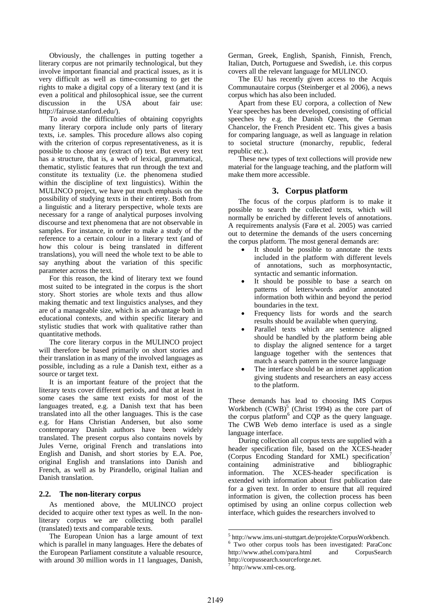Obviously, the challenges in putting together a literary corpus are not primarily technological, but they involve important financial and practical issues, as it is very difficult as well as time-consuming to get the rights to make a digital copy of a literary text (and it is even a political and philosophical issue, see the current discussion in the USA about fair use: http://fairuse.stanford.edu/).

To avoid the difficulties of obtaining copyrights many literary corpora include only parts of literary texts, i.e. samples. This procedure allows also coping with the criterion of corpus representativeness, as it is possible to choose any (extract of) text. But every text has a structure, that is, a web of lexical, grammatical, thematic, stylistic features that run through the text and constitute its textuality (i.e. the phenomena studied within the discipline of text linguistics). Within the MULINCO project, we have put much emphasis on the possibility of studying texts in their entirety. Both from a linguistic and a literary perspective, whole texts are necessary for a range of analytical purposes involving discourse and text phenomena that are not observable in samples. For instance, in order to make a study of the reference to a certain colour in a literary text (and of how this colour is being translated in different translations), you will need the whole text to be able to say anything about the variation of this specific parameter across the text.

For this reason, the kind of literary text we found most suited to be integrated in the corpus is the short story. Short stories are whole texts and thus allow making thematic and text linguistics analyses, and they are of a manageable size, which is an advantage both in educational contexts, and within specific literary and stylistic studies that work with qualitative rather than quantitative methods.

The core literary corpus in the MULINCO project will therefore be based primarily on short stories and their translation in as many of the involved languages as possible, including as a rule a Danish text, either as a source or target text.

It is an important feature of the project that the literary texts cover different periods, and that at least in some cases the same text exists for most of the languages treated, e.g. a Danish text that has been translated into all the other languages. This is the case e.g. for Hans Christian Andersen, but also some contemporary Danish authors have been widely translated. The present corpus also contains novels by Jules Verne, original French and translations into English and Danish, and short stories by E.A. Poe, original English and translations into Danish and French, as well as by Pirandello, original Italian and Danish translation.

### **2.2. The non-literary corpus**

As mentioned above, the MULINCO project decided to acquire other text types as well. In the nonliterary corpus we are collecting both parallel (translated) texts and comparable texts.

The European Union has a large amount of text which is parallel in many languages. Here the debates of the European Parliament constitute a valuable resource, with around 30 million words in 11 languages, Danish,

German, Greek, English, Spanish, Finnish, French, Italian, Dutch, Portuguese and Swedish, i.e. this corpus covers all the relevant language for MULINCO.

The EU has recently given access to the Acquis Communautaire corpus (Steinberger et al 2006), a news corpus which has also been included.

Apart from these EU corpora, a collection of New Year speeches has been developed, consisting of official speeches by e.g. the Danish Queen, the German Chancelor, the French President etc. This gives a basis for comparing language, as well as language in relation to societal structure (monarchy, republic, federal republic etc.).

These new types of text collections will provide new material for the language teaching, and the platform will make them more accessible.

### **3. Corpus platform**

The focus of the corpus platform is to make it possible to search the collected texts, which will normally be enriched by different levels of annotations. A requirements analysis (Farø et al. 2005) was carried out to determine the demands of the users concerning the corpus platform. The most general demands are:

- It should be possible to annotate the texts included in the platform with different levels of annotations, such as morphosyntactic, syntactic and semantic information.
- It should be possible to base a search on patterns of letters/words and/or annotated information both within and beyond the period boundaries in the text.
- Frequency lists for words and the search results should be available when querying.
- Parallel texts which are sentence aligned should be handled by the platform being able to display the aligned sentence for a target language together with the sentences that match a search pattern in the source language
- The interface should be an internet application giving students and researchers an easy access to the platform.

These demands has lead to choosing IMS Corpus Workbench  $(CWB)^5$  (Christ 1994) as the core part of the corpus platform<sup>6</sup> and CQP as the query language. The CWB Web demo interface is used as a single language interface.

During collection all corpus texts are supplied with a header specification file, based on the XCES-header (Corpus Encoding Standard for XML) specification containing administrative and bibliographic information. The XCES-header specification is extended with information about first publication date for a given text. In order to ensure that all required information is given, the collection process has been optimised by using an online corpus collection web interface, which guides the researchers involved to

<sup>-</sup> $^5$  http://www.ims.uni-stuttgart.de/projekte/CorpusWorkbench.

<sup>&</sup>lt;sup>6</sup> Two other corpus tools has been investigated: ParaConc http://www.athel.com/para.html and CorpusSearch http://corpussearch.sourceforge.net.

<sup>7</sup> http://www.xml-ces.org.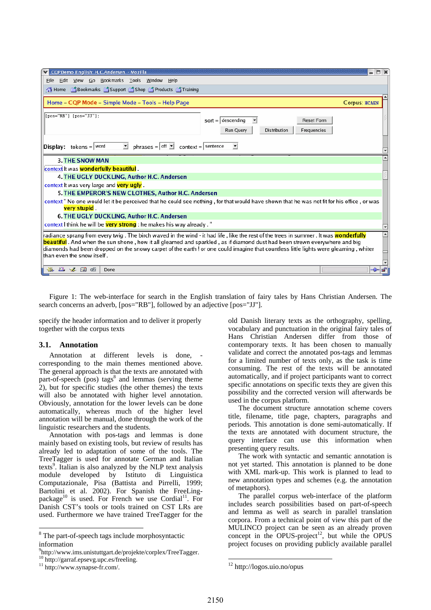| CQPDemo English: H.C.Andersen. - Mozilla                                                                                                                                                                                                                                                                                                                                                                                                                         | Е                    |  |  |
|------------------------------------------------------------------------------------------------------------------------------------------------------------------------------------------------------------------------------------------------------------------------------------------------------------------------------------------------------------------------------------------------------------------------------------------------------------------|----------------------|--|--|
| File Edit View Go Bookmarks Tools Window Help                                                                                                                                                                                                                                                                                                                                                                                                                    |                      |  |  |
| Home   fookmarks in Support in Shop in Products in Training                                                                                                                                                                                                                                                                                                                                                                                                      |                      |  |  |
|                                                                                                                                                                                                                                                                                                                                                                                                                                                                  |                      |  |  |
| Home - CQP Mode - Simple Mode - Tools - Help Page                                                                                                                                                                                                                                                                                                                                                                                                                | <b>Corpus: HCAEN</b> |  |  |
| $[pos="RB"] [pos="JJ"];$                                                                                                                                                                                                                                                                                                                                                                                                                                         |                      |  |  |
| $sort =  $ descending<br><b>Reset Form</b>                                                                                                                                                                                                                                                                                                                                                                                                                       |                      |  |  |
| <b>Distribution</b><br>Frequencies<br>Run Query                                                                                                                                                                                                                                                                                                                                                                                                                  |                      |  |  |
|                                                                                                                                                                                                                                                                                                                                                                                                                                                                  |                      |  |  |
| phrases = $\vert$ off $\vert \underline{\mathbf{v}} \vert$ context =   sentence<br>회<br>$\vert$<br><b>Display:</b> tokens = $ \text{word} $                                                                                                                                                                                                                                                                                                                      |                      |  |  |
| <b>3. THE SNOW MAN</b>                                                                                                                                                                                                                                                                                                                                                                                                                                           |                      |  |  |
| context It was wonderfully beautiful.                                                                                                                                                                                                                                                                                                                                                                                                                            |                      |  |  |
| 4. THE UGLY DUCKLING, Author H.C. Andersen                                                                                                                                                                                                                                                                                                                                                                                                                       |                      |  |  |
| context It was very large and very ugly.                                                                                                                                                                                                                                                                                                                                                                                                                         |                      |  |  |
| 5. THE EMPEROR'S NEW CLOTHES, Author H.C. Andersen                                                                                                                                                                                                                                                                                                                                                                                                               |                      |  |  |
| context" No one would let it be perceived that he could see nothing, for that would have shown that he was not fit for his office, or was<br>very stupid.                                                                                                                                                                                                                                                                                                        |                      |  |  |
| 6. THE UGLY DUCKLING, Author H.C. Andersen                                                                                                                                                                                                                                                                                                                                                                                                                       |                      |  |  |
| context I think he will be very strong : he makes his way already."                                                                                                                                                                                                                                                                                                                                                                                              |                      |  |  |
| radiance sprang from every twig . The birch waved in the wind - it had life , like the rest of the trees in summer . It was <mark>wonderfully</mark><br>۰<br>beautiful . And when the sun shone , how it all gleamed and sparkled , as if diamond dust had been strewn everywhere and big<br>diamonds had been dropped on the snowy carpet of the earth ! or one could imagine that countless little lights were gleaming , whiter<br>than even the snow itself. |                      |  |  |
| <b>EAL</b><br>নেদ<br>Done                                                                                                                                                                                                                                                                                                                                                                                                                                        |                      |  |  |

Figure 1: The web-interface for search in the English translation of fairy tales by Hans Christian Andersen. The search concerns an adverb, [pos="RB"], followed by an adjective [pos="JJ"].

specify the header information and to deliver it properly together with the corpus texts

#### **3.1. Annotation**

Annotation at different levels is done, corresponding to the main themes mentioned above. The general approach is that the texts are annotated with part-of-speech (pos) tags<sup>8</sup> and lemmas (serving theme 2), but for specific studies (the other themes) the texts will also be annotated with higher level annotation. Obviously, annotation for the lower levels can be done automatically, whereas much of the higher level annotation will be manual, done through the work of the linguistic researchers and the students.

Annotation with pos-tags and lemmas is done mainly based on existing tools, but review of results has already led to adaptation of some of the tools. The TreeTagger is used for annotate German and Italian texts<sup>9</sup>. Italian is also analyzed by the NLP text analysis module developed by Istituto di Linguistica Computazionale, Pisa (Battista and Pirrelli, 1999; Bartolini et al. 2002). For Spanish the FreeLingpackage<sup>10</sup> is used. For French we use Cordial<sup>11</sup>. For Danish CST's tools or tools trained on CST LRs are used. Furthermore we have trained TreeTagger for the

 $\overline{a}$ 

old Danish literary texts as the orthography, spelling, vocabulary and punctuation in the original fairy tales of Hans Christian Andersen differ from those of contemporary texts. It has been chosen to manually validate and correct the annotated pos-tags and lemmas for a limited number of texts only, as the task is time consuming. The rest of the texts will be annotated automatically, and if project participants want to correct specific annotations on specific texts they are given this possibility and the corrected version will afterwards be used in the corpus platform.

The document structure annotation scheme covers title, filename, title page, chapters, paragraphs and periods. This annotation is done semi-automatically. If the texts are annotated with document structure, the query interface can use this information when presenting query results.

The work with syntactic and semantic annotation is not yet started. This annotation is planned to be done with XML mark-up. This work is planned to lead to new annotation types and schemes (e.g. the annotation of metaphors).

The parallel corpus web-interface of the platform includes search possibilities based on part-of-speech and lemma as well as search in parallel translation corpora. From a technical point of view this part of the MULINCO project can be seen as an already proven concept in the OPUS-project<sup>12</sup>, but while the OPUS project focuses on providing publicly available parallel

<u>.</u>

<sup>&</sup>lt;sup>8</sup> The part-of-speech tags include morphosyntactic information

<sup>&</sup>lt;sup>9</sup>http://www.ims.unistuttgart.de/projekte/corplex/TreeTagger.<br><sup>10</sup> http://garraf.epsevg.upc.es/freeling.<br><sup>11</sup> http://www.synapse-fr.com/.

<sup>12</sup> http://logos.uio.no/opus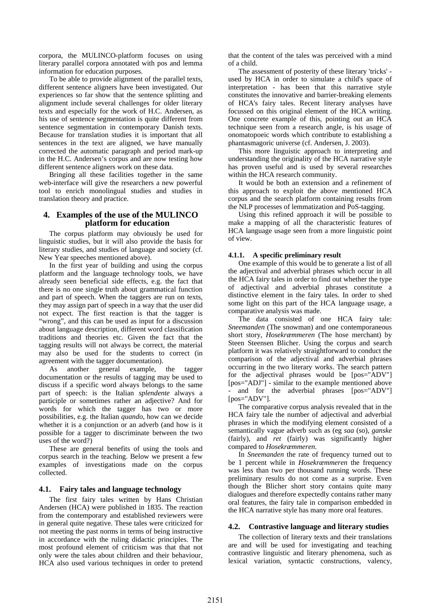corpora, the MULINCO-platform focuses on using literary parallel corpora annotated with pos and lemma information for education purposes.

To be able to provide alignment of the parallel texts, different sentence aligners have been investigated. Our experiences so far show that the sentence splitting and alignment include several challenges for older literary texts and especially for the work of H.C. Andersen, as his use of sentence segmentation is quite different from sentence segmentation in contemporary Danish texts. Because for translation studies it is important that all sentences in the text are aligned, we have manually corrected the automatic paragraph and period mark-up in the H.C. Andersen's corpus and are now testing how different sentence aligners work on these data.

Bringing all these facilities together in the same web-interface will give the researchers a new powerful tool to enrich monolingual studies and studies in translation theory and practice.

### **4. Examples of the use of the MULINCO platform for education**

The corpus platform may obviously be used for linguistic studies, but it will also provide the basis for literary studies, and studies of language and society (cf. New Year speeches mentioned above).

In the first year of building and using the corpus platform and the language technology tools, we have already seen beneficial side effects, e.g. the fact that there is no one single truth about grammatical function and part of speech. When the taggers are run on texts, they may assign part of speech in a way that the user did not expect. The first reaction is that the tagger is "wrong", and this can be used as input for a discussion about language description, different word classification traditions and theories etc. Given the fact that the tagging results will not always be correct, the material may also be used for the students to correct (in agreement with the tagger documentation).

As another general example, the tagger documentation or the results of tagging may be used to discuss if a specific word always belongs to the same part of speech: is the Italian *splendente* always a participle or sometimes rather an adjective? And for words for which the tagger has two or more possibilities, e.g. the Italian *quando*, how can we decide whether it is a conjunction or an adverb (and how is it possible for a tagger to discriminate between the two uses of the word?)

These are general benefits of using the tools and corpus search in the teaching. Below we present a few examples of investigations made on the corpus collected.

#### **4.1. Fairy tales and language technology**

The first fairy tales written by Hans Christian Andersen (HCA) were published in 1835. The reaction from the contemporary and established reviewers were in general quite negative. These tales were criticized for not meeting the past norms in terms of being instructive in accordance with the ruling didactic principles. The most profound element of criticism was that that not only were the tales about children and their behaviour, HCA also used various techniques in order to pretend

that the content of the tales was perceived with a mind of a child.

The assessment of posterity of these literary 'tricks' used by HCA in order to simulate a child's space of interpretation - has been that this narrative style constitutes the innovative and barrier-breaking elements of HCA's fairy tales. Recent literary analyses have focussed on this original element of the HCA writing. One concrete example of this, pointing out an HCA technique seen from a research angle, is his usage of onomatopoeic words which contribute to establishing a phantasmagoric universe (cf. Andersen, J. 2003).

This more linguistic approach to interpreting and understanding the originality of the HCA narrative style has proven useful and is used by several researches within the HCA research community.

It would be both an extension and a refinement of this approach to exploit the above mentioned HCA corpus and the search platform containing results from the NLP processes of lemmatization and PoS-tagging.

Using this refined approach it will be possible to make a mapping of all the characteristic features of HCA language usage seen from a more linguistic point of view.

#### **4.1.1. A specific preliminary result**

One example of this would be to generate a list of all the adjectival and adverbial phrases which occur in all the HCA fairy tales in order to find out whether the type of adjectival and adverbial phrases constitute a distinctive element in the fairy tales. In order to shed some light on this part of the HCA language usage, a comparative analysis was made.

The data consisted of one HCA fairy tale: *Sneemanden* (The snowman) and one contemporaneous short story, *Hosekræmmeren* (The hose merchant) by Steen Steensen Blicher. Using the corpus and search platform it was relatively straightforward to conduct the comparison of the adjectival and adverbial phrases occurring in the two literary works. The search pattern for the adjectival phrases would be [pos="ADV"] [pos="ADJ"] - similar to the example mentioned above and for the adverbial phrases [pos="ADV"] [pos="ADV"].

The comparative corpus analysis revealed that in the HCA fairy tale the number of adjectival and adverbial phrases in which the modifying element consisted of a semantically vague adverb such as (eg *saa* (so), *ganske*  (fairly), and *ret* (fairly) was significantly higher compared to *Hosekræmmeren*.

In *Sneemanden* the rate of frequency turned out to be 1 percent while in *Hosekræmmeren* the frequency was less than two per thousand running words. These preliminary results do not come as a surprise. Even though the Blicher short story contains quite many dialogues and therefore expectedly contains rather many oral features, the fairy tale in comparison embedded in the HCA narrative style has many more oral features.

### **4.2. Contrastive language and literary studies**

The collection of literary texts and their translations are and will be used for investigating and teaching contrastive linguistic and literary phenomena, such as lexical variation, syntactic constructions, valency,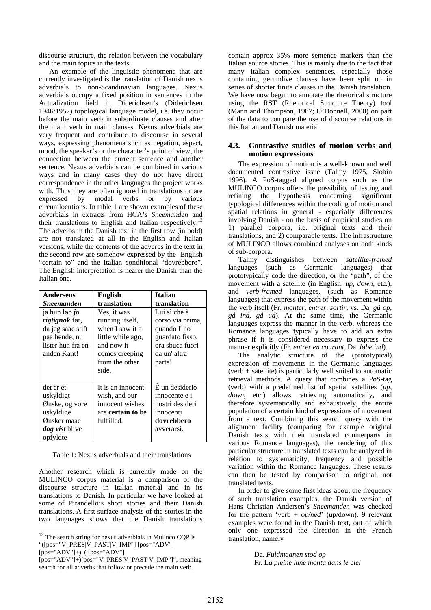discourse structure, the relation between the vocabulary and the main topics in the texts.

An example of the linguistic phenomena that are currently investigated is the translation of Danish nexus adverbials to non-Scandinavian languages. Nexus adverbials occupy a fixed position in sentences in the Actualization field in Diderichsen's (Diderichsen 1946/1957) topological language model, i.e. they occur before the main verb in subordinate clauses and after the main verb in main clauses. Nexus adverbials are very frequent and contribute to discourse in several ways, expressing phenomena such as negation, aspect, mood, the speaker's or the character's point of view, the connection between the current sentence and another sentence. Nexus adverbials can be combined in various ways and in many cases they do not have direct correspondence in the other languages the project works with. Thus they are often ignored in translations or are expressed by modal verbs or by various circumlocutions. In table 1 are shown examples of these adverbials in extracts from HCA's *Sneemanden* and their translations to English and Italian respectively.<sup>13</sup> The adverbs in the Danish text in the first row (in bold) are not translated at all in the English and Italian versions, while the contents of the adverbs in the text in the second row are somehow expressed by the English "certain to" and the Italian conditional "dovrebbero". The English interpretation is nearer the Danish than the Italian one.

| Andersens                                                                                                        | <b>English</b>                                                                                                                    | <b>Italian</b>                                                                                                  |
|------------------------------------------------------------------------------------------------------------------|-----------------------------------------------------------------------------------------------------------------------------------|-----------------------------------------------------------------------------------------------------------------|
| <b>Sneemanden</b>                                                                                                | translation                                                                                                                       | translation                                                                                                     |
| ja hun løb <i>jo</i><br>rigtignok før,<br>da jeg saae stift<br>paa hende, nu<br>lister hun fra en<br>anden Kant! | Yes, it was<br>running itself,<br>when I saw it a<br>little while ago,<br>and now it<br>comes creeping<br>from the other<br>side. | Lui sì che è<br>corso via prima,<br>quando l'ho<br>guardato fisso,<br>ora sbuca fuori<br>da un' altra<br>parte! |
| det er et<br>uskyldigt<br>Ønske, og vore<br>uskyldige<br>Ønsker maae<br><i>dog vist</i> blive<br>opfyldte        | It is an innocent<br>wish, and our<br>innocent wishes<br>are <b>certain</b> to be<br>fulfilled.                                   | È un desiderio<br>innocente e i<br>nostri desideri<br>innocenti<br>dovrebbero<br>avverarsi.                     |

| Table 1: Nexus adverbials and their translations |  |
|--------------------------------------------------|--|
|--------------------------------------------------|--|

Another research which is currently made on the MULINCO corpus material is a comparison of the discourse structure in Italian material and in its translations to Danish. In particular we have looked at some of Pirandello's short stories and their Danish translations. A first surface analysis of the stories in the two languages shows that the Danish translations

[pos="ADV"]+)| ( [pos="ADV"]

l

contain approx 35% more sentence markers than the Italian source stories. This is mainly due to the fact that many Italian complex sentences, especially those containing gerundive clauses have been split up in series of shorter finite clauses in the Danish translation. We have now begun to annotate the rhetorical structure using the RST (Rhetorical Structure Theory) tool (Mann and Thompson, 1987; O'Donnell, 2000) on part of the data to compare the use of discourse relations in this Italian and Danish material.

#### **4.3. Contrastive studies of motion verbs and motion expressions**

The expression of motion is a well-known and well documented contrastive issue (Talmy 1975, Slobin 1996). A PoS-tagged aligned corpus such as the MULINCO corpus offers the possibility of testing and refining the hypothesis concerning significant typological differences within the coding of motion and spatial relations in general - especially differences involving Danish - on the basis of empirical studies on 1) parallel corpora, i.e. original texts and their translations, and 2) comparable texts. The infrastructure of MULINCO allows combined analyses on both kinds of sub-corpora.

Talmy distinguishes between *satellite-framed*  languages (such as Germanic languages) that prototypically code the direction, or the "path", of the movement with a satellite (in English: *up, down,* etc.), and *verb-framed* languages, (such as Romance languages) that express the path of the movement within the verb itself (Fr. *monter, entrer, sortir*, vs. Da. *gå op, gå ind, gå ud*). At the same time, the Germanic languages express the manner in the verb, whereas the Romance languages typically have to add an extra phrase if it is considered necessary to express the manner explicitly (Fr. *entrer en courant*, Da. *løbe ind*).

The analytic structure of the (prototypical) expression of movements in the Germanic languages (verb + satellite) is particularly well suited to automatic retrieval methods. A query that combines a PoS-tag (verb) with a predefined list of spatial satellites (*up, down*, etc.) allows retrieving automatically, and therefore systematically and exhaustively, the entire population of a certain kind of expressions of movement from a text. Combining this search query with the alignment facility (comparing for example original Danish texts with their translated counterparts in various Romance languages), the rendering of this particular structure in translated texts can be analyzed in relation to systematicity, frequency and possible variation within the Romance languages. These results can then be tested by comparison to original, not translated texts.

In order to give some first ideas about the frequency of such translation examples, the Danish version of Hans Christian Andersen's *Sneemanden* was checked for the pattern 'verb + *op/ned*' (up/down). 9 relevant examples were found in the Danish text, out of which only one expressed the direction in the French translation, namely

> Da. *Fuldmaanen stod op*  Fr. L*a pleine lune monta dans le ciel*

<sup>&</sup>lt;sup>13</sup> The search string for nexus adverbials in Mulinco CQP is "([pos="V\_PRES|V\_PAST|V\_IMP"] [pos="ADV"]

<sup>[</sup>pos="ADV"]+)[pos="V\_PRES|V\_PAST|V\_IMP"]", meaning search for all adverbs that follow or precede the main verb.